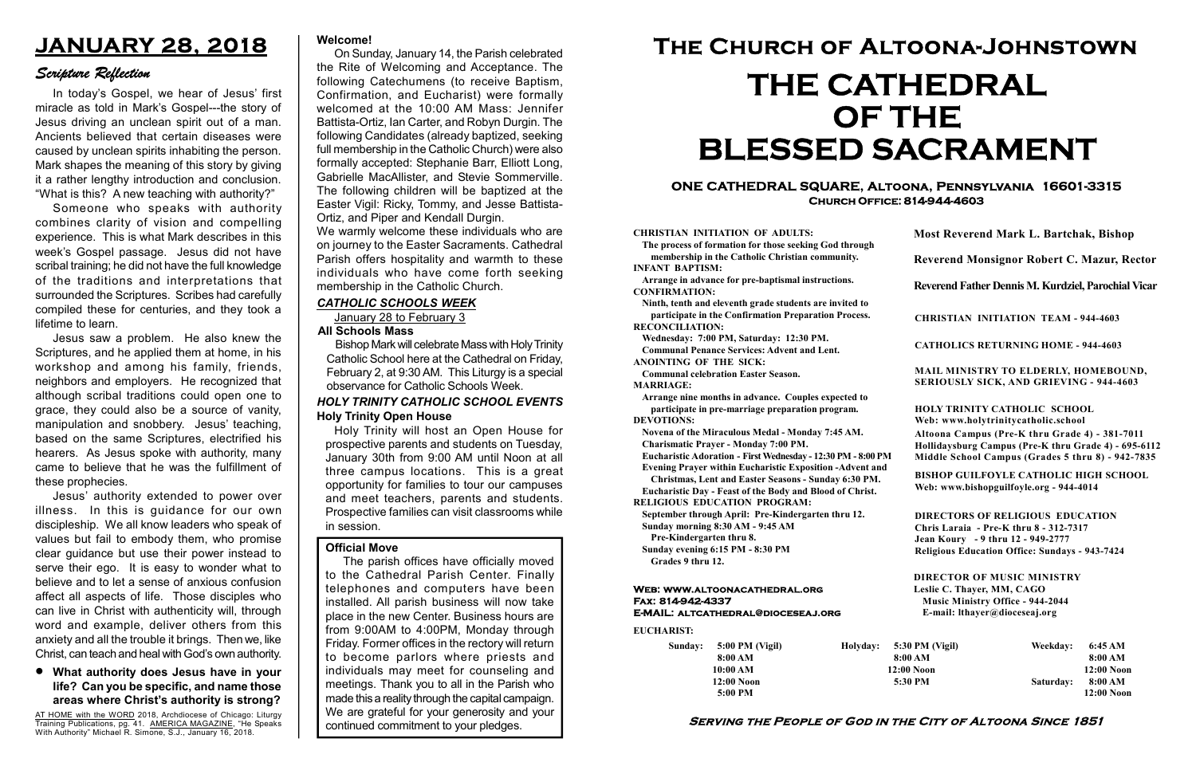#### Serving the People of God in the City of Altoona Since 1851

Sunday: 5:00 PM (Vigil) 8:00 AM 10:00 AM 12:00 Noon 5:00 PM

Holyday:

#### Web: www.altoonacathedral.org Fax: 814-942-4337 E-MAIL: altcathedral@dioceseaj.org

EUCHARIST:

#### CHRISTIAN INITIATION OF ADULTS:

The process of formation for those seeking God through membership in the Catholic Christian community. INFANT BAPTISM:

Arrange in advance for pre-baptismal instructions. CONFIRMATION:

Ninth, tenth and eleventh grade students are invited to participate in the Confirmation Preparation Process. RECONCILIATION:

Wednesday: 7:00 PM, Saturday: 12:30 PM. Communal Penance Services: Advent and Lent.

ANOINTING OF THE SICK:

Communal celebration Easter Season. MARRIAGE:

Arrange nine months in advance. Couples expected to participate in pre-marriage preparation program. DEVOTIONS:

Novena of the Miraculous Medal - Monday 7:45 AM.

Charismatic Prayer - Monday 7:00 PM.

Eucharistic Adoration - First Wednesday - 12:30 PM - 8:00 PM Evening Prayer within Eucharistic Exposition -Advent and

Christmas, Lent and Easter Seasons - Sunday 6:30 PM.

|                         | <b>Most Reverend Mark L. Bartchak, Bishop</b><br><b>Reverend Monsignor Robert C. Mazur, Rector</b>                                                                              |           |                         |
|-------------------------|---------------------------------------------------------------------------------------------------------------------------------------------------------------------------------|-----------|-------------------------|
|                         |                                                                                                                                                                                 |           |                         |
|                         | Reverend Father Dennis M. Kurdziel, Parochial Vicar                                                                                                                             |           |                         |
|                         | <b>CHRISTIAN INITIATION TEAM - 944-4603</b>                                                                                                                                     |           |                         |
|                         | <b>CATHOLICS RETURNING HOME - 944-4603</b>                                                                                                                                      |           |                         |
|                         | MAIL MINISTRY TO ELDERLY, HOMEBOUND,<br>SERIOUSLY SICK, AND GRIEVING - 944-4603                                                                                                 |           |                         |
|                         | HOLY TRINITY CATHOLIC SCHOOL<br>Web: www.holytrinitycatholic.school                                                                                                             |           |                         |
| М                       | Altoona Campus (Pre-K thru Grade 4) - 381-7011<br>Hollidaysburg Campus (Pre-K thru Grade 4) - 695-6112<br>Middle School Campus (Grades 5 thru 8) - 942-7835                     |           |                         |
| ł                       | <b>BISHOP GUILFOYLE CATHOLIC HIGH SCHOOL</b><br>Web: www.bishopguilfoyle.org - 944-4014                                                                                         |           |                         |
|                         | <b>DIRECTORS OF RELIGIOUS EDUCATION</b><br>Chris Laraia - Pre-K thru 8 - 312-7317<br>Jean Koury - 9 thru 12 - 949-2777<br><b>Religious Education Office: Sundays - 943-7424</b> |           |                         |
|                         | <b>DIRECTOR OF MUSIC MINISTRY</b><br>Leslie C. Thayer, MM, CAGO<br><b>Music Ministry Office - 944-2044</b><br>E-mail: lthayer@dioceseaj.org                                     |           |                         |
| 5:30 PM (Vigil)         |                                                                                                                                                                                 | Weekday:  | 6:45 AM                 |
| 8:00 AM<br>$12:00$ Noon |                                                                                                                                                                                 |           | 8:00 AM<br>$12:00$ Noon |
| 5:30 PM                 |                                                                                                                                                                                 | Saturday: | 8:00 AM                 |
|                         |                                                                                                                                                                                 |           | 12:00 Noon              |

Eucharistic Day - Feast of the Body and Blood of Christ.

RELIGIOUS EDUCATION PROGRAM:

September through April: Pre-Kindergarten thru 12. Sunday morning 8:30 AM - 9:45 AM

Pre-Kindergarten thru 8.

Sunday evening 6:15 PM - 8:30 PM Grades 9 thru 12.

AT HOME with the WORD 2018, Archdiocese of Chicago: Liturgy Training Publications, pg. 41. AMERICA MAGAZINE, "He Speaks With Authority" Michael R. Simone, S.J., January 16, 2018.

#### ONE CATHEDRAL SQUARE, Altoona, Pennsylvania 16601-3315 Church Office: 814-944-4603

# The Church of Altoona-Johnstown THE CATHEDRAL OF THE BLESSED SACRAMENT

## JANUARY 28, 2018

#### Scripture Reflection

What authority does Jesus have in your life? Can you be specific, and name those areas where Christ's authority is strong?

In today's Gospel, we hear of Jesus' first miracle as told in Mark's Gospel---the story of Jesus driving an unclean spirit out of a man. Ancients believed that certain diseases were caused by unclean spirits inhabiting the person. Mark shapes the meaning of this story by giving it a rather lengthy introduction and conclusion. "What is this? A new teaching with authority?"

> We warmly welcome these individuals who are on journey to the Easter Sacraments. Cathedral Parish offers hospitality and warmth to these individuals who have come forth seeking membership in the Catholic Church.

Someone who speaks with authority combines clarity of vision and compelling experience. This is what Mark describes in this week's Gospel passage. Jesus did not have scribal training; he did not have the full knowledge of the traditions and interpretations that surrounded the Scriptures. Scribes had carefully compiled these for centuries, and they took a lifetime to learn.

Jesus saw a problem. He also knew the Scriptures, and he applied them at home, in his workshop and among his family, friends, neighbors and employers. He recognized that although scribal traditions could open one to grace, they could also be a source of vanity, manipulation and snobbery. Jesus' teaching, based on the same Scriptures, electrified his hearers. As Jesus spoke with authority, many came to believe that he was the fulfillment of these prophecies.

Jesus' authority extended to power over illness. In this is guidance for our own discipleship. We all know leaders who speak of values but fail to embody them, who promise clear guidance but use their power instead to serve their ego. It is easy to wonder what to believe and to let a sense of anxious confusion affect all aspects of life. Those disciples who can live in Christ with authenticity will, through word and example, deliver others from this anxiety and all the trouble it brings. Then we, like Christ, can teach and heal with God's own authority.

Holy Trinity will host an Open House for prospective parents and students on Tuesday, January 30th from 9:00 AM until Noon at all three campus locations. This is a great opportunity for families to tour our campuses and meet teachers, parents and students. Prospective families can visit classrooms while in session.

#### Holy Trinity Open House HOLY TRINITY CATHOLIC SCHOOL EVENTS

#### Official Move

The parish offices have officially moved to the Cathedral Parish Center. Finally telephones and computers have been installed. All parish business will now take place in the new Center. Business hours are from 9:00AM to 4:00PM, Monday through Friday. Former offices in the rectory will return to become parlors where priests and individuals may meet for counseling and meetings. Thank you to all in the Parish who made this a reality through the capital campaign. We are grateful for your generosity and your continued commitment to your pledges.

#### Welcome!

On Sunday, January 14, the Parish celebrated the Rite of Welcoming and Acceptance. The following Catechumens (to receive Baptism, Confirmation, and Eucharist) were formally welcomed at the 10:00 AM Mass: Jennifer Battista-Ortiz, Ian Carter, and Robyn Durgin. The following Candidates (already baptized, seeking full membership in the Catholic Church) were also formally accepted: Stephanie Barr, Elliott Long, Gabrielle MacAllister, and Stevie Sommerville. The following children will be baptized at the Easter Vigil: Ricky, Tommy, and Jesse Battista-Ortiz, and Piper and Kendall Durgin.

#### CATHOLIC SCHOOLS WEEK

January 28 to February 3

#### All Schools Mass

Bishop Mark will celebrate Mass with Holy Trinity Catholic School here at the Cathedral on Friday, February 2, at 9:30 AM. This Liturgy is a special observance for Catholic Schools Week.